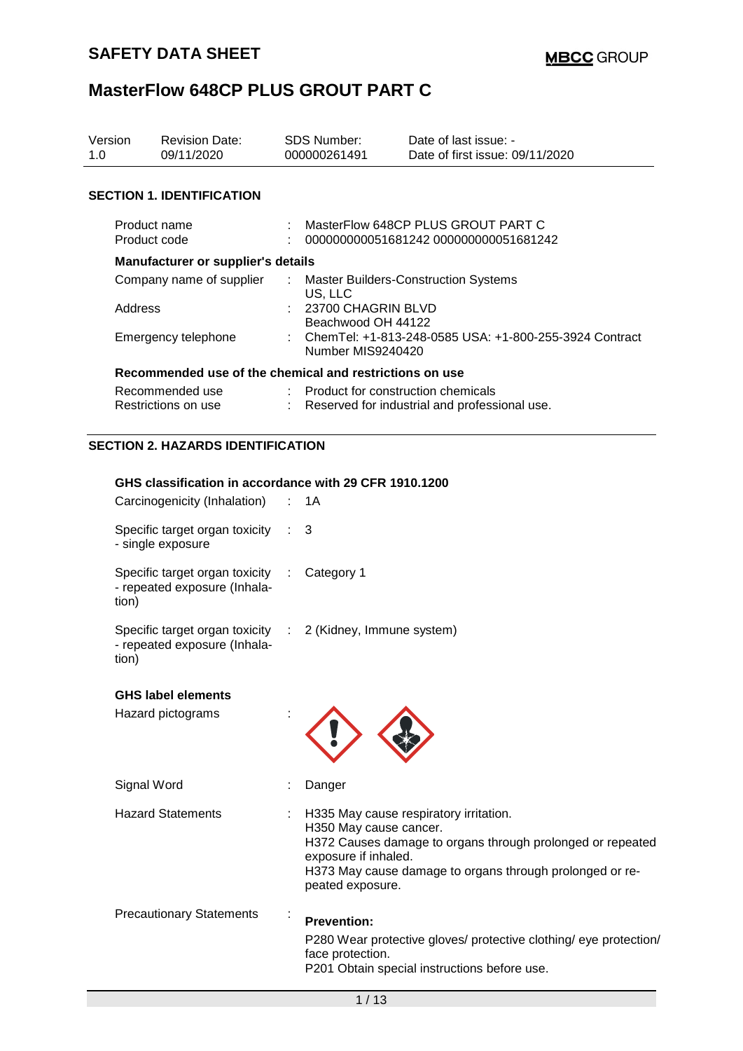| Version<br>1.0 | <b>Revision Date:</b><br>09/11/2020                     |  | <b>SDS Number:</b><br>000000261491                                          | Date of last issue: -<br>Date of first issue: 09/11/2020 |  |
|----------------|---------------------------------------------------------|--|-----------------------------------------------------------------------------|----------------------------------------------------------|--|
|                |                                                         |  |                                                                             |                                                          |  |
|                | <b>SECTION 1. IDENTIFICATION</b>                        |  |                                                                             |                                                          |  |
|                | Product name<br>Product code                            |  | MasterFlow 648CP PLUS GROUT PART C<br>000000000051681242 000000000051681242 |                                                          |  |
|                | <b>Manufacturer or supplier's details</b>               |  |                                                                             |                                                          |  |
|                | Company name of supplier                                |  | US, LLC                                                                     | <b>Master Builders-Construction Systems</b>              |  |
|                | Address                                                 |  | : 23700 CHAGRIN BLVD<br>Beachwood OH 44122                                  |                                                          |  |
|                | Emergency telephone                                     |  | Number MIS9240420                                                           | : ChemTel: +1-813-248-0585 USA: +1-800-255-3924 Contract |  |
|                | Recommended use of the chemical and restrictions on use |  |                                                                             |                                                          |  |
|                | Recommended use                                         |  | : Product for construction chemicals                                        |                                                          |  |
|                | Restrictions on use                                     |  |                                                                             | Reserved for industrial and professional use.            |  |
|                | EATIAN A ULITIRRA IRENTIFIA ITIANI                      |  |                                                                             |                                                          |  |

# **SECTION 2. HAZARDS IDENTIFICATION**

| GHS classification in accordance with 29 CFR 1910.1200             |  |
|--------------------------------------------------------------------|--|
| Carcinogenicity (Inhalation) : 1A                                  |  |
| Specific target organ toxicity $\therefore$ 3<br>- single exposure |  |

| Specific target organ toxicity | : Category 1 |
|--------------------------------|--------------|
| - repeated exposure (Inhala-   |              |
| tion)                          |              |

| Specific target organ toxicity : 2 (Kidney, Immune system) |  |
|------------------------------------------------------------|--|
| - repeated exposure (Inhala-                               |  |
| tion)                                                      |  |

| <b>GHS label elements</b> |  |
|---------------------------|--|
|---------------------------|--|

| Hazard pictograms               |                                                                                                                                                                                                                                        |
|---------------------------------|----------------------------------------------------------------------------------------------------------------------------------------------------------------------------------------------------------------------------------------|
| Signal Word                     | Danger                                                                                                                                                                                                                                 |
| <b>Hazard Statements</b>        | H335 May cause respiratory irritation.<br>H350 May cause cancer.<br>H372 Causes damage to organs through prolonged or repeated<br>exposure if inhaled.<br>H373 May cause damage to organs through prolonged or re-<br>peated exposure. |
| <b>Precautionary Statements</b> | <b>Prevention:</b><br>P280 Wear protective gloves/ protective clothing/ eye protection/<br>face protection.<br>P201 Obtain special instructions before use.                                                                            |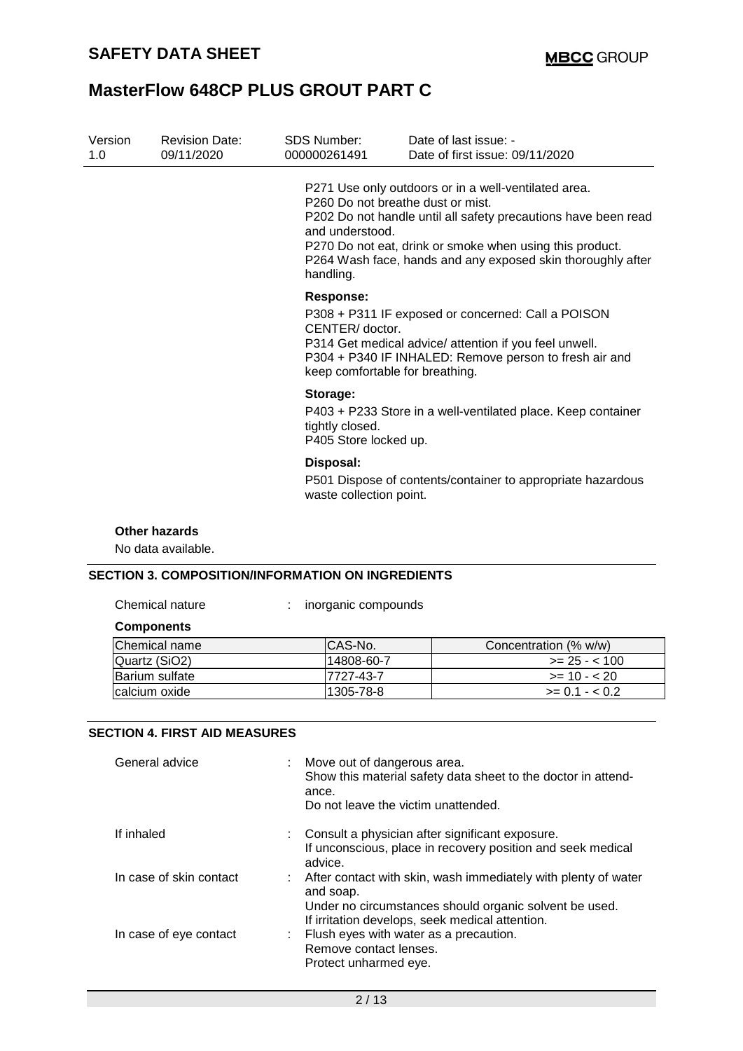| Version<br>1.0 | <b>Revision Date:</b><br>09/11/2020 | SDS Number:<br>000000261491                                       | Date of last issue: -<br>Date of first issue: 09/11/2020                                                                                                                                                                                          |
|----------------|-------------------------------------|-------------------------------------------------------------------|---------------------------------------------------------------------------------------------------------------------------------------------------------------------------------------------------------------------------------------------------|
|                |                                     | P260 Do not breathe dust or mist.<br>and understood.<br>handling. | P271 Use only outdoors or in a well-ventilated area.<br>P202 Do not handle until all safety precautions have been read<br>P270 Do not eat, drink or smoke when using this product.<br>P264 Wash face, hands and any exposed skin thoroughly after |
|                |                                     | Response:<br>CENTER/doctor.<br>keep comfortable for breathing.    | P308 + P311 IF exposed or concerned: Call a POISON<br>P314 Get medical advice/ attention if you feel unwell.<br>P304 + P340 IF INHALED: Remove person to fresh air and                                                                            |
|                |                                     | Storage:<br>tightly closed.<br>P405 Store locked up.              | P403 + P233 Store in a well-ventilated place. Keep container                                                                                                                                                                                      |
|                |                                     | Disposal:<br>waste collection point.                              | P501 Dispose of contents/container to appropriate hazardous                                                                                                                                                                                       |
|                | Other hazards<br>No data available. |                                                                   |                                                                                                                                                                                                                                                   |

### **SECTION 3. COMPOSITION/INFORMATION ON INGREDIENTS**

|  | Chemical nature |
|--|-----------------|
|  |                 |

Interprise of the compounds in an unit compounds

#### **Components**

| Chemical name  | ICAS-No.   | Concentration (% w/w) |
|----------------|------------|-----------------------|
| Quartz (SiO2)  | 14808-60-7 | $\ge$ 25 - < 100      |
| Barium sulfate | 7727-43-7  | $>= 10 - 20$          |
| Icalcium oxide | 1305-78-8  | $>= 0.1 - 0.2$        |

#### **SECTION 4. FIRST AID MEASURES**

| General advice          | Move out of dangerous area.<br>Show this material safety data sheet to the doctor in attend-<br>ance.<br>Do not leave the victim unattended.                                               |
|-------------------------|--------------------------------------------------------------------------------------------------------------------------------------------------------------------------------------------|
| If inhaled              | : Consult a physician after significant exposure.<br>If unconscious, place in recovery position and seek medical<br>advice.                                                                |
| In case of skin contact | : After contact with skin, wash immediately with plenty of water<br>and soap.<br>Under no circumstances should organic solvent be used.<br>If irritation develops, seek medical attention. |
| In case of eye contact  | : Flush eyes with water as a precaution.<br>Remove contact lenses.<br>Protect unharmed eye.                                                                                                |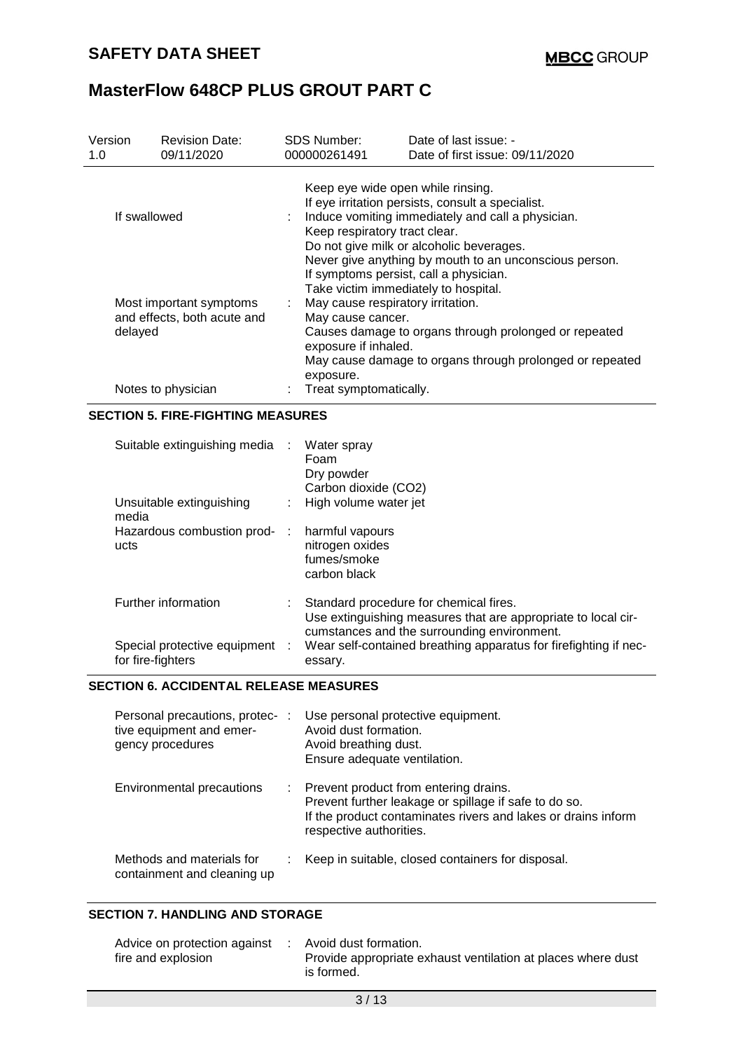| Version<br>1.0                                                                          | <b>Revision Date:</b><br>09/11/2020 | <b>SDS Number:</b><br>000000261491                                                                                                                                                                                                                                                                                           | Date of last issue: -<br>Date of first issue: 09/11/2020                                                                                                                                                                                    |  |  |  |
|-----------------------------------------------------------------------------------------|-------------------------------------|------------------------------------------------------------------------------------------------------------------------------------------------------------------------------------------------------------------------------------------------------------------------------------------------------------------------------|---------------------------------------------------------------------------------------------------------------------------------------------------------------------------------------------------------------------------------------------|--|--|--|
| If swallowed                                                                            |                                     | Keep eye wide open while rinsing.<br>If eye irritation persists, consult a specialist.<br>Induce vomiting immediately and call a physician.<br>Keep respiratory tract clear.<br>Do not give milk or alcoholic beverages.<br>Never give anything by mouth to an unconscious person.<br>If symptoms persist, call a physician. |                                                                                                                                                                                                                                             |  |  |  |
| Most important symptoms<br>and effects, both acute and<br>delayed<br>Notes to physician |                                     | ÷.<br>exposure.<br>Treat symptomatically.                                                                                                                                                                                                                                                                                    | Take victim immediately to hospital.<br>May cause respiratory irritation.<br>May cause cancer.<br>Causes damage to organs through prolonged or repeated<br>exposure if inhaled.<br>May cause damage to organs through prolonged or repeated |  |  |  |

### **SECTION 5. FIRE-FIGHTING MEASURES**

| Suitable extinguishing media<br>Unsuitable extinguishing<br>media | $\sim 100$ | Water spray<br>Foam<br>Dry powder<br>Carbon dioxide (CO2)<br>High volume water jet                                                                     |
|-------------------------------------------------------------------|------------|--------------------------------------------------------------------------------------------------------------------------------------------------------|
| Hazardous combustion prod-<br>ucts                                | ÷          | harmful vapours<br>nitrogen oxides<br>fumes/smoke<br>carbon black                                                                                      |
| Further information                                               |            | Standard procedure for chemical fires.<br>Use extinguishing measures that are appropriate to local cir-<br>cumstances and the surrounding environment. |
| Special protective equipment :<br>for fire-fighters               |            | Wear self-contained breathing apparatus for firefighting if nec-<br>essary.                                                                            |

### **SECTION 6. ACCIDENTAL RELEASE MEASURES**

| Personal precautions, protec-:<br>tive equipment and emer-<br>gency procedures | Use personal protective equipment.<br>Avoid dust formation.<br>Avoid breathing dust.<br>Ensure adequate ventilation.                                                                         |
|--------------------------------------------------------------------------------|----------------------------------------------------------------------------------------------------------------------------------------------------------------------------------------------|
| Environmental precautions                                                      | : Prevent product from entering drains.<br>Prevent further leakage or spillage if safe to do so.<br>If the product contaminates rivers and lakes or drains inform<br>respective authorities. |
| Methods and materials for<br>containment and cleaning up                       | Keep in suitable, closed containers for disposal.                                                                                                                                            |

#### **SECTION 7. HANDLING AND STORAGE**

| Advice on protection against | Avoid dust formation.                                        |
|------------------------------|--------------------------------------------------------------|
| fire and explosion           | Provide appropriate exhaust ventilation at places where dust |
|                              | is formed.                                                   |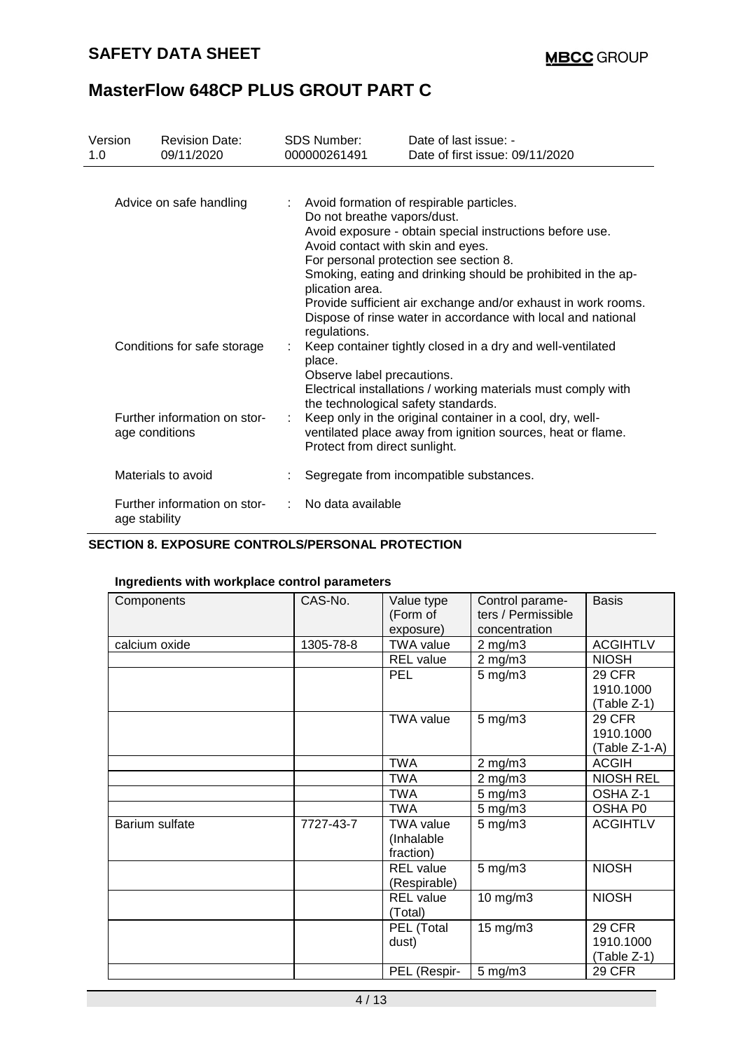## **SAFETY DATA SHEET**

## **MasterFlow 648CP PLUS GROUT PART C**

| Version<br>1.0          | <b>Revision Date:</b><br>09/11/2020            | <b>SDS Number:</b><br>000000261491                                                                                                                                                                                                                                                                                                                                                                                                     | Date of last issue: -<br>Date of first issue: 09/11/2020                                                                    |  |
|-------------------------|------------------------------------------------|----------------------------------------------------------------------------------------------------------------------------------------------------------------------------------------------------------------------------------------------------------------------------------------------------------------------------------------------------------------------------------------------------------------------------------------|-----------------------------------------------------------------------------------------------------------------------------|--|
| Advice on safe handling |                                                | Avoid formation of respirable particles.<br>Do not breathe vapors/dust.<br>Avoid exposure - obtain special instructions before use.<br>Avoid contact with skin and eyes.<br>For personal protection see section 8.<br>Smoking, eating and drinking should be prohibited in the ap-<br>plication area.<br>Provide sufficient air exchange and/or exhaust in work rooms.<br>Dispose of rinse water in accordance with local and national |                                                                                                                             |  |
|                         | Conditions for safe storage                    | regulations.<br>place.<br>Observe label precautions.                                                                                                                                                                                                                                                                                                                                                                                   | Keep container tightly closed in a dry and well-ventilated<br>Electrical installations / working materials must comply with |  |
|                         | Further information on stor-<br>age conditions | the technological safety standards.<br>Protect from direct sunlight.                                                                                                                                                                                                                                                                                                                                                                   | Keep only in the original container in a cool, dry, well-<br>ventilated place away from ignition sources, heat or flame.    |  |
|                         | Materials to avoid                             |                                                                                                                                                                                                                                                                                                                                                                                                                                        | Segregate from incompatible substances.                                                                                     |  |
| age stability           | Further information on stor-                   | No data available                                                                                                                                                                                                                                                                                                                                                                                                                      |                                                                                                                             |  |

### **SECTION 8. EXPOSURE CONTROLS/PERSONAL PROTECTION**

### **Ingredients with workplace control parameters**

| Components     | CAS-No.   | Value type<br>(Form of<br>exposure)         | Control parame-<br>ters / Permissible<br>concentration | <b>Basis</b>                                |
|----------------|-----------|---------------------------------------------|--------------------------------------------------------|---------------------------------------------|
| calcium oxide  | 1305-78-8 | <b>TWA value</b>                            | $2$ mg/m $3$                                           | <b>ACGIHTLV</b>                             |
|                |           | <b>REL</b> value                            | $2$ mg/m $3$                                           | <b>NIOSH</b>                                |
|                |           | PEL                                         | $5$ mg/m $3$                                           | <b>29 CFR</b><br>1910.1000<br>(Table Z-1)   |
|                |           | <b>TWA value</b>                            | $5$ mg/m $3$                                           | <b>29 CFR</b><br>1910.1000<br>(Table Z-1-A) |
|                |           | <b>TWA</b>                                  | $2$ mg/m $3$                                           | <b>ACGIH</b>                                |
|                |           | <b>TWA</b>                                  | $2$ mg/m $3$                                           | <b>NIOSH REL</b>                            |
|                |           | <b>TWA</b>                                  | $5$ mg/m $3$                                           | OSHA Z-1                                    |
|                |           | <b>TWA</b>                                  | 5 mg/m3                                                | OSHA P0                                     |
| Barium sulfate | 7727-43-7 | <b>TWA value</b><br>(Inhalable<br>fraction) | 5 mg/m3                                                | <b>ACGIHTLV</b>                             |
|                |           | <b>REL</b> value<br>(Respirable)            | $5$ mg/m $3$                                           | <b>NIOSH</b>                                |
|                |           | <b>REL</b> value<br>(Total)                 | 10 mg/m3                                               | <b>NIOSH</b>                                |
|                |           | PEL (Total<br>dust)                         | $15 \text{ mg/m}$                                      | <b>29 CFR</b><br>1910.1000<br>(Table Z-1)   |
|                |           | PEL (Respir-                                | $5$ mg/m $3$                                           | <b>29 CFR</b>                               |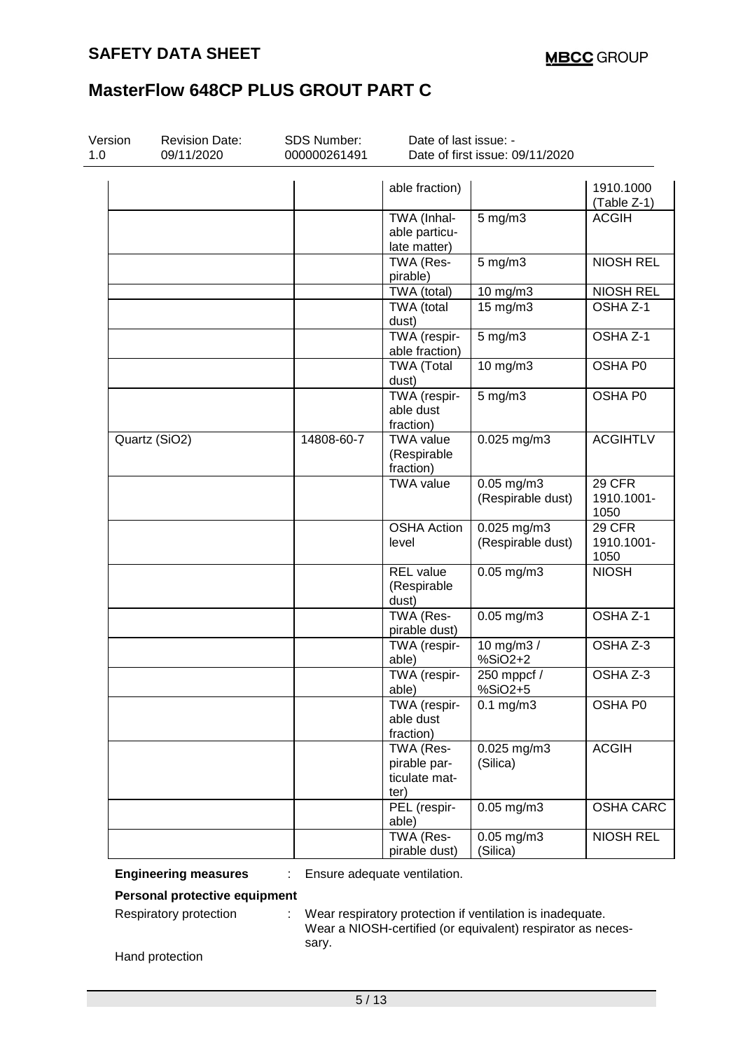| Version<br><b>Revision Date:</b><br>1.0<br>09/11/2020 |               | <b>SDS Number:</b><br>000000261491 | Date of last issue: -<br>Date of first issue: 09/11/2020 |                                    |                              |  |
|-------------------------------------------------------|---------------|------------------------------------|----------------------------------------------------------|------------------------------------|------------------------------|--|
|                                                       |               |                                    | able fraction)                                           |                                    | 1910.1000<br>(Table Z-1)     |  |
|                                                       |               |                                    | TWA (Inhal-<br>able particu-<br>late matter)             | $5 \text{ mg/m}$                   | <b>ACGIH</b>                 |  |
|                                                       |               |                                    | TWA (Res-<br>pirable)                                    | $5$ mg/m $3$                       | <b>NIOSH REL</b>             |  |
|                                                       |               |                                    | TWA (total)                                              | 10 mg/m3                           | <b>NIOSH REL</b>             |  |
|                                                       |               |                                    | TWA (total<br>dust)                                      | 15 mg/m3                           | OSHA Z-1                     |  |
|                                                       |               |                                    | TWA (respir-<br>able fraction)                           | $5$ mg/m $3$                       | OSHA Z-1                     |  |
|                                                       |               |                                    | <b>TWA (Total</b><br>dust)                               | 10 mg/m3                           | OSHA P0                      |  |
|                                                       |               |                                    | TWA (respir-<br>able dust<br>fraction)                   | $5 \text{ mg/m}$                   | OSHA P0                      |  |
|                                                       | Quartz (SiO2) | 14808-60-7                         | <b>TWA value</b><br>(Respirable<br>fraction)             | 0.025 mg/m3                        | <b>ACGIHTLV</b>              |  |
|                                                       |               |                                    | <b>TWA value</b>                                         | $0.05$ mg/m3<br>(Respirable dust)  | 29 CFR<br>1910.1001-<br>1050 |  |
|                                                       |               |                                    | <b>OSHA Action</b><br>level                              | $0.025$ mg/m3<br>(Respirable dust) | 29 CFR<br>1910.1001-<br>1050 |  |
|                                                       |               |                                    | REL value<br>(Respirable<br>dust)                        | $0.05$ mg/m $3$                    | <b>NIOSH</b>                 |  |
|                                                       |               |                                    | TWA (Res-<br>pirable dust)                               | $0.05$ mg/m $3$                    | OSHA Z-1                     |  |
|                                                       |               |                                    | TWA (respir-<br>able)                                    | 10 mg/m3 /<br>$%SiO2+2$            | OSHA Z-3                     |  |
|                                                       |               |                                    | TWA (respir-<br>able)                                    | 250 mppcf /<br>%SiO2+5             | OSHA Z-3                     |  |
|                                                       |               |                                    | TWA (respir-<br>able dust<br>fraction)                   | $0.1$ mg/m $3$                     | OSHA P0                      |  |
|                                                       |               |                                    | TWA (Res-<br>pirable par-<br>ticulate mat-<br>ter)       | 0.025 mg/m3<br>(Silica)            | <b>ACGIH</b>                 |  |
|                                                       |               |                                    | PEL (respir-<br>able)                                    | $0.05$ mg/m3                       | <b>OSHA CARC</b>             |  |
|                                                       |               |                                    | TWA (Res-<br>pirable dust)                               | $0.05$ mg/m $3$<br>(Silica)        | <b>NIOSH REL</b>             |  |

**Engineering measures** : Ensure adequate ventilation.

**Personal protective equipment**

Respiratory protection : Wear respiratory protection if ventilation is inadequate. Wear a NIOSH-certified (or equivalent) respirator as necessary.

Hand protection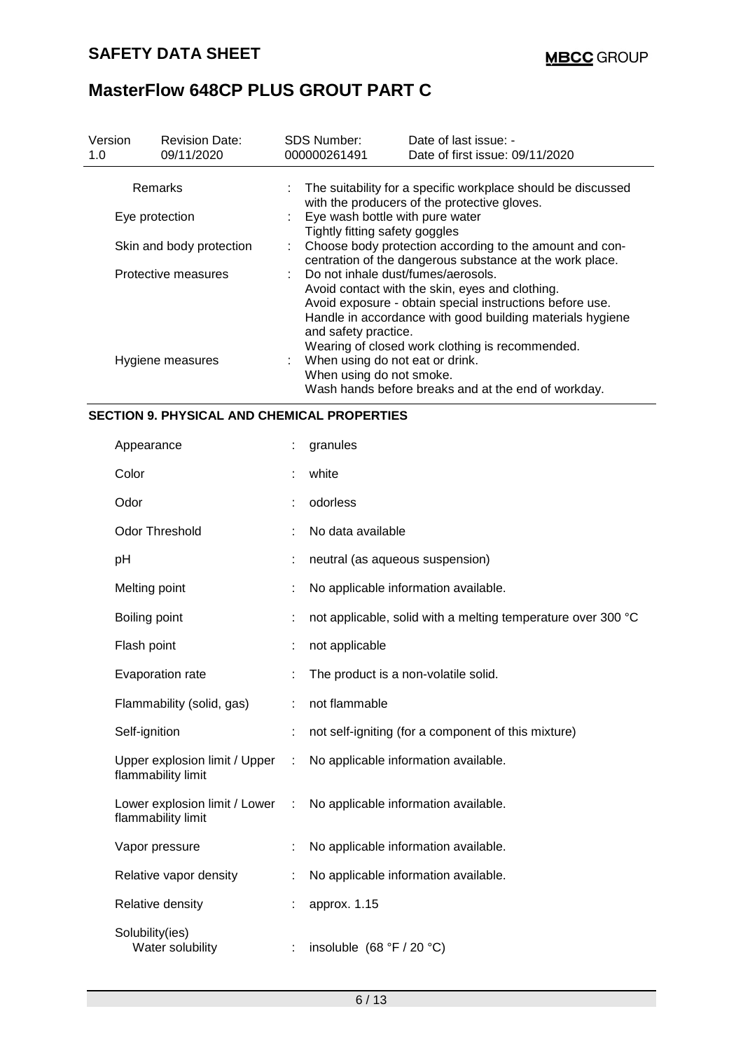| Version<br>1.0 | <b>Revision Date:</b><br>09/11/2020 | <b>SDS Number:</b><br>000000261491                                                                                  | Date of last issue: -<br>Date of first issue: 09/11/2020                                                                                                                                                                    |  |  |  |  |
|----------------|-------------------------------------|---------------------------------------------------------------------------------------------------------------------|-----------------------------------------------------------------------------------------------------------------------------------------------------------------------------------------------------------------------------|--|--|--|--|
|                | Remarks                             |                                                                                                                     | : The suitability for a specific workplace should be discussed<br>with the producers of the protective gloves.                                                                                                              |  |  |  |  |
|                | Eye protection                      | Eye wash bottle with pure water<br>Tightly fitting safety goggles                                                   |                                                                                                                                                                                                                             |  |  |  |  |
|                | Skin and body protection            | Choose body protection according to the amount and con-<br>centration of the dangerous substance at the work place. |                                                                                                                                                                                                                             |  |  |  |  |
|                | Protective measures                 | : Do not inhale dust/fumes/aerosols.<br>and safety practice.                                                        | Avoid contact with the skin, eyes and clothing.<br>Avoid exposure - obtain special instructions before use.<br>Handle in accordance with good building materials hygiene<br>Wearing of closed work clothing is recommended. |  |  |  |  |
|                | Hygiene measures                    | When using do not eat or drink.<br>When using do not smoke.                                                         | Wash hands before breaks and at the end of workday.                                                                                                                                                                         |  |  |  |  |

### **SECTION 9. PHYSICAL AND CHEMICAL PROPERTIES**

| Appearance                                            |                             | granules                                                     |
|-------------------------------------------------------|-----------------------------|--------------------------------------------------------------|
| Color                                                 |                             | white                                                        |
| Odor                                                  |                             | odorless                                                     |
| <b>Odor Threshold</b>                                 |                             | No data available                                            |
| pH                                                    |                             | neutral (as aqueous suspension)                              |
| Melting point                                         |                             | No applicable information available.                         |
| Boiling point                                         |                             | not applicable, solid with a melting temperature over 300 °C |
| Flash point                                           |                             | not applicable                                               |
| Evaporation rate                                      |                             | The product is a non-volatile solid.                         |
| Flammability (solid, gas)                             | ÷                           | not flammable                                                |
| Self-ignition                                         |                             | not self-igniting (for a component of this mixture)          |
| Upper explosion limit / Upper<br>flammability limit   | $\mathcal{L}^{\mathcal{L}}$ | No applicable information available.                         |
| Lower explosion limit / Lower :<br>flammability limit |                             | No applicable information available.                         |
| Vapor pressure                                        |                             | No applicable information available.                         |
| Relative vapor density                                |                             | No applicable information available.                         |
| Relative density                                      |                             | approx. 1.15                                                 |
| Solubility(ies)<br>Water solubility                   | ÷                           | insoluble $(68 °F / 20 °C)$                                  |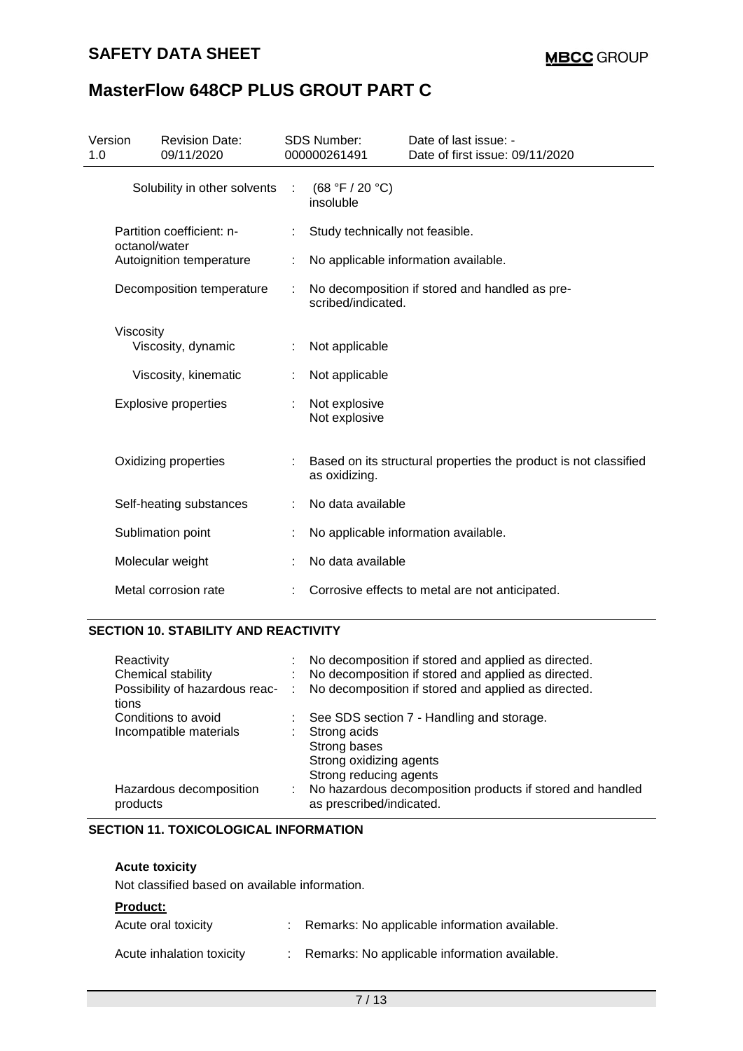## **SAFETY DATA SHEET**

## **MasterFlow 648CP PLUS GROUT PART C**

| Version<br>1.0 | <b>Revision Date:</b><br>09/11/2020        |   | <b>SDS Number:</b><br>000000261491 | Date of last issue: -<br>Date of first issue: 09/11/2020         |
|----------------|--------------------------------------------|---|------------------------------------|------------------------------------------------------------------|
|                | Solubility in other solvents               | ÷ | (68 °F / 20 °C)<br>insoluble       |                                                                  |
|                | Partition coefficient: n-<br>octanol/water |   | Study technically not feasible.    |                                                                  |
|                | Autoignition temperature                   |   |                                    | No applicable information available.                             |
|                | Decomposition temperature                  |   | scribed/indicated.                 | No decomposition if stored and handled as pre-                   |
|                | Viscosity<br>Viscosity, dynamic            |   | Not applicable                     |                                                                  |
|                | Viscosity, kinematic                       |   | Not applicable                     |                                                                  |
|                | <b>Explosive properties</b>                |   | Not explosive<br>Not explosive     |                                                                  |
|                | Oxidizing properties                       |   | as oxidizing.                      | Based on its structural properties the product is not classified |
|                | Self-heating substances                    |   | No data available                  |                                                                  |
|                | Sublimation point                          |   |                                    | No applicable information available.                             |
|                | Molecular weight                           |   | No data available                  |                                                                  |
|                | Metal corrosion rate                       |   |                                    | Corrosive effects to metal are not anticipated.                  |

### **SECTION 10. STABILITY AND REACTIVITY**

| Reactivity<br>Chemical stability<br>Possibility of hazardous reac-<br>tions | t.<br>÷ | No decomposition if stored and applied as directed.<br>No decomposition if stored and applied as directed.<br>No decomposition if stored and applied as directed. |
|-----------------------------------------------------------------------------|---------|-------------------------------------------------------------------------------------------------------------------------------------------------------------------|
| Conditions to avoid<br>Incompatible materials                               |         | : See SDS section 7 - Handling and storage.<br>Strong acids<br>Strong bases<br>Strong oxidizing agents<br>Strong reducing agents                                  |
| Hazardous decomposition<br>products                                         | ÷.      | No hazardous decomposition products if stored and handled<br>as prescribed/indicated.                                                                             |

### **SECTION 11. TOXICOLOGICAL INFORMATION**

### **Acute toxicity**

Not classified based on available information.

#### **Product:**

| Acute oral toxicity       | Remarks: No applicable information available. |
|---------------------------|-----------------------------------------------|
| Acute inhalation toxicity | Remarks: No applicable information available. |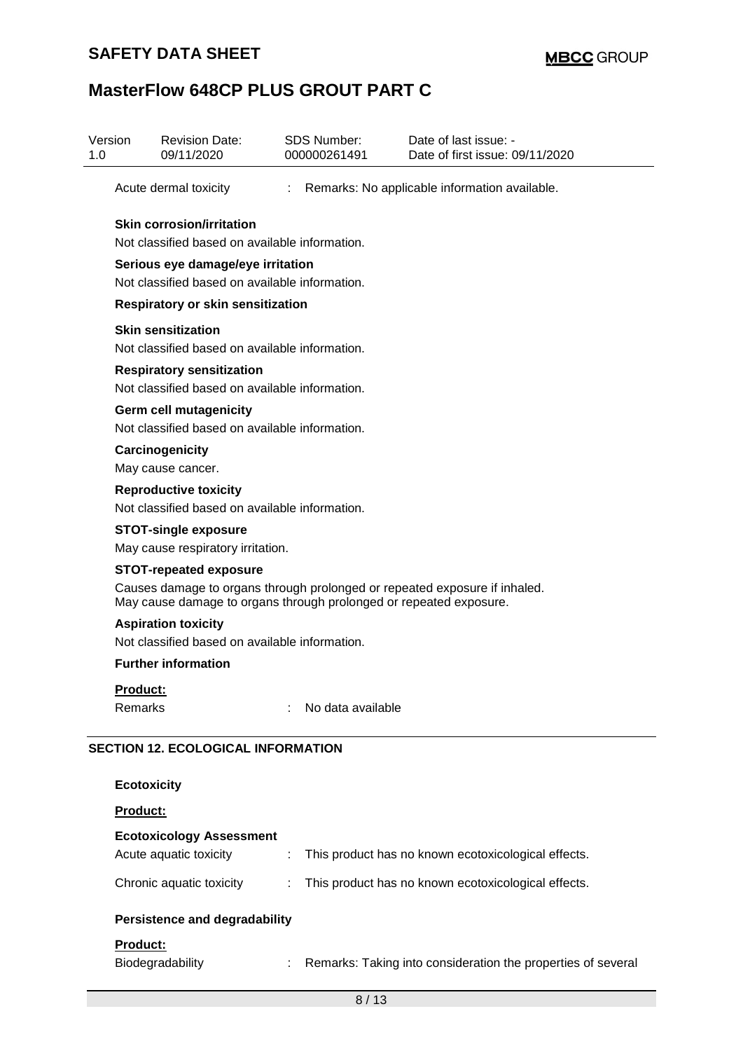## **SAFETY DATA SHEET**

# **MasterFlow 648CP PLUS GROUT PART C**

| Version<br>1.0 | <b>Revision Date:</b><br>09/11/2020                                                                 |                             | <b>SDS Number:</b><br>000000261491 | Date of last issue: -<br>Date of first issue: 09/11/2020                   |  |  |  |  |
|----------------|-----------------------------------------------------------------------------------------------------|-----------------------------|------------------------------------|----------------------------------------------------------------------------|--|--|--|--|
|                | Acute dermal toxicity                                                                               | $\mathcal{L}^{\mathcal{L}}$ |                                    | Remarks: No applicable information available.                              |  |  |  |  |
|                | <b>Skin corrosion/irritation</b><br>Not classified based on available information.                  |                             |                                    |                                                                            |  |  |  |  |
|                | Serious eye damage/eye irritation<br>Not classified based on available information.                 |                             |                                    |                                                                            |  |  |  |  |
|                | <b>Respiratory or skin sensitization</b>                                                            |                             |                                    |                                                                            |  |  |  |  |
|                | <b>Skin sensitization</b><br>Not classified based on available information.                         |                             |                                    |                                                                            |  |  |  |  |
|                | <b>Respiratory sensitization</b><br>Not classified based on available information.                  |                             |                                    |                                                                            |  |  |  |  |
|                | <b>Germ cell mutagenicity</b><br>Not classified based on available information.                     |                             |                                    |                                                                            |  |  |  |  |
|                | Carcinogenicity<br>May cause cancer.                                                                |                             |                                    |                                                                            |  |  |  |  |
|                | <b>Reproductive toxicity</b><br>Not classified based on available information.                      |                             |                                    |                                                                            |  |  |  |  |
|                | <b>STOT-single exposure</b><br>May cause respiratory irritation.                                    |                             |                                    |                                                                            |  |  |  |  |
|                | <b>STOT-repeated exposure</b><br>May cause damage to organs through prolonged or repeated exposure. |                             |                                    | Causes damage to organs through prolonged or repeated exposure if inhaled. |  |  |  |  |
|                | <b>Aspiration toxicity</b><br>Not classified based on available information.                        |                             |                                    |                                                                            |  |  |  |  |
|                | <b>Further information</b>                                                                          |                             |                                    |                                                                            |  |  |  |  |
|                | <b>Product:</b><br>Remarks                                                                          |                             | No data available                  |                                                                            |  |  |  |  |
|                | <b>SECTION 12. ECOLOGICAL INFORMATION</b>                                                           |                             |                                    |                                                                            |  |  |  |  |
|                | <b>Ecotoxicity</b>                                                                                  |                             |                                    |                                                                            |  |  |  |  |
|                | Product:                                                                                            |                             |                                    |                                                                            |  |  |  |  |
|                | <b>Ecotoxicology Assessment</b><br>Acute aquatic toxicity                                           | ÷                           |                                    | This product has no known ecotoxicological effects.                        |  |  |  |  |
|                | Chronic aquatic toxicity                                                                            |                             |                                    | This product has no known ecotoxicological effects.                        |  |  |  |  |
|                | <b>Persistence and degradability</b>                                                                |                             |                                    |                                                                            |  |  |  |  |
|                | Product:<br>Biodegradability                                                                        |                             |                                    | Remarks: Taking into consideration the properties of several               |  |  |  |  |
|                |                                                                                                     |                             | 8/13                               |                                                                            |  |  |  |  |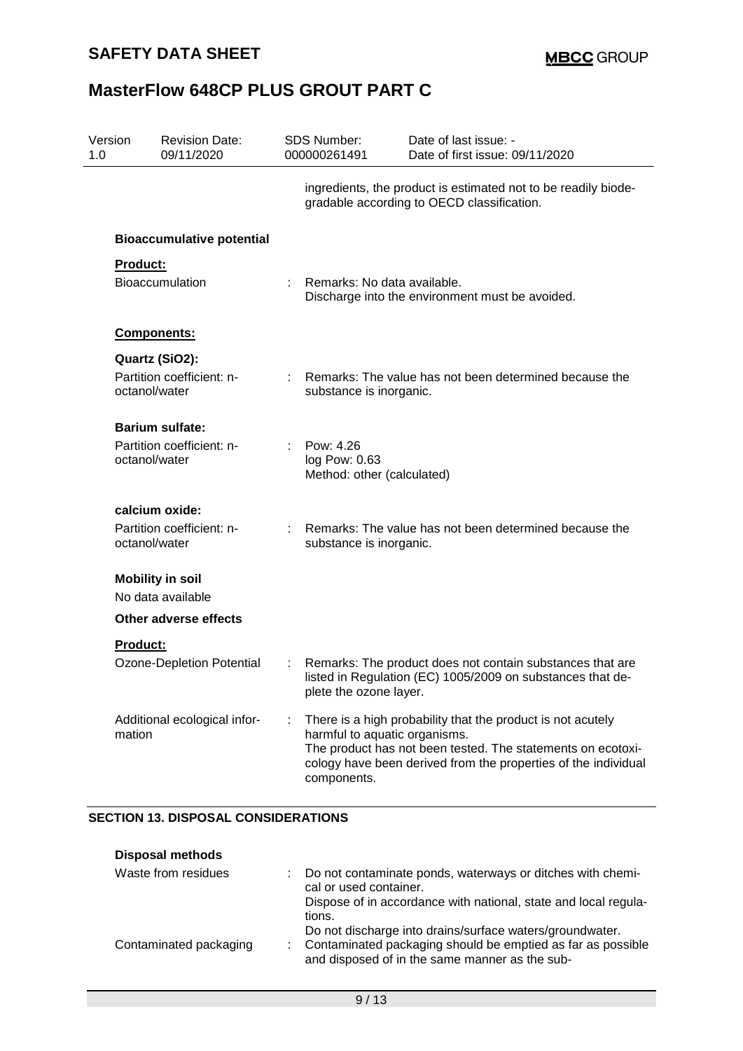| Version<br>1.0 |                 | <b>Revision Date:</b><br>09/11/2020          | <b>SDS Number:</b><br>000000261491                       | Date of last issue: -<br>Date of first issue: 09/11/2020                                                                                                                                     |
|----------------|-----------------|----------------------------------------------|----------------------------------------------------------|----------------------------------------------------------------------------------------------------------------------------------------------------------------------------------------------|
|                |                 |                                              |                                                          | ingredients, the product is estimated not to be readily biode-<br>gradable according to OECD classification.                                                                                 |
|                |                 | <b>Bioaccumulative potential</b>             |                                                          |                                                                                                                                                                                              |
|                | Product:        |                                              |                                                          |                                                                                                                                                                                              |
|                |                 | <b>Bioaccumulation</b>                       | Remarks: No data available.                              | Discharge into the environment must be avoided.                                                                                                                                              |
|                |                 | Components:                                  |                                                          |                                                                                                                                                                                              |
|                |                 | Quartz (SiO2):                               |                                                          |                                                                                                                                                                                              |
|                | octanol/water   | Partition coefficient: n-                    | substance is inorganic.                                  | Remarks: The value has not been determined because the                                                                                                                                       |
|                |                 | <b>Barium sulfate:</b>                       |                                                          |                                                                                                                                                                                              |
|                | octanol/water   | Partition coefficient: n-                    | Pow: 4.26<br>log Pow: 0.63<br>Method: other (calculated) |                                                                                                                                                                                              |
|                |                 | calcium oxide:                               |                                                          |                                                                                                                                                                                              |
|                | octanol/water   | Partition coefficient: n-                    | substance is inorganic.                                  | Remarks: The value has not been determined because the                                                                                                                                       |
|                |                 | <b>Mobility in soil</b><br>No data available |                                                          |                                                                                                                                                                                              |
|                |                 | Other adverse effects                        |                                                          |                                                                                                                                                                                              |
|                | <b>Product:</b> |                                              |                                                          |                                                                                                                                                                                              |
|                |                 | Ozone-Depletion Potential                    | plete the ozone layer.                                   | Remarks: The product does not contain substances that are<br>listed in Regulation (EC) 1005/2009 on substances that de-                                                                      |
|                | mation          | Additional ecological infor-                 | harmful to aquatic organisms.<br>components.             | There is a high probability that the product is not acutely<br>The product has not been tested. The statements on ecotoxi-<br>cology have been derived from the properties of the individual |

### **SECTION 13. DISPOSAL CONSIDERATIONS**

| <b>Disposal methods</b> |                                                                                                               |
|-------------------------|---------------------------------------------------------------------------------------------------------------|
| Waste from residues     | Do not contaminate ponds, waterways or ditches with chemi-<br>cal or used container.                          |
|                         | Dispose of in accordance with national, state and local regula-<br>tions.                                     |
|                         | Do not discharge into drains/surface waters/groundwater.                                                      |
| Contaminated packaging  | Contaminated packaging should be emptied as far as possible<br>and disposed of in the same manner as the sub- |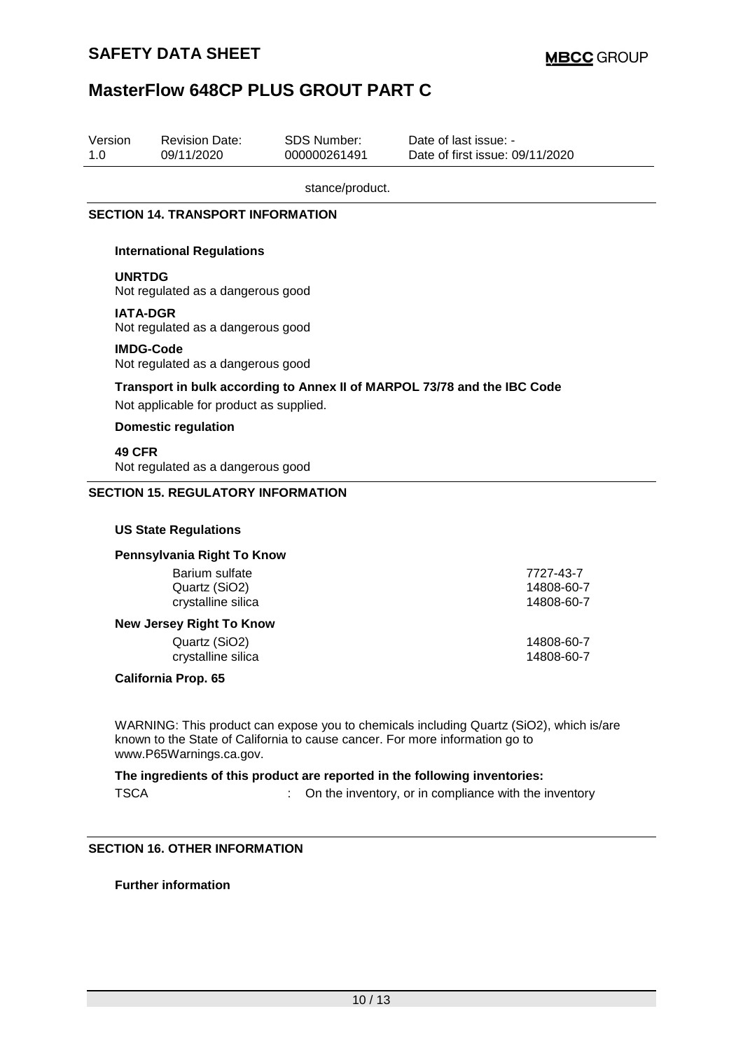| Version<br>1.0                                        |                                                                                                                     | <b>Revision Date:</b><br>09/11/2020       | <b>SDS Number:</b><br>000000261491    | Date of last issue: -<br>Date of first issue: 09/11/2020 |  |  |  |  |  |
|-------------------------------------------------------|---------------------------------------------------------------------------------------------------------------------|-------------------------------------------|---------------------------------------|----------------------------------------------------------|--|--|--|--|--|
|                                                       | stance/product.                                                                                                     |                                           |                                       |                                                          |  |  |  |  |  |
|                                                       | <b>SECTION 14. TRANSPORT INFORMATION</b>                                                                            |                                           |                                       |                                                          |  |  |  |  |  |
|                                                       | <b>International Regulations</b>                                                                                    |                                           |                                       |                                                          |  |  |  |  |  |
|                                                       | <b>UNRTDG</b><br>Not regulated as a dangerous good                                                                  |                                           |                                       |                                                          |  |  |  |  |  |
|                                                       | <b>IATA-DGR</b><br>Not regulated as a dangerous good                                                                |                                           |                                       |                                                          |  |  |  |  |  |
|                                                       | <b>IMDG-Code</b><br>Not regulated as a dangerous good                                                               |                                           |                                       |                                                          |  |  |  |  |  |
|                                                       | Transport in bulk according to Annex II of MARPOL 73/78 and the IBC Code<br>Not applicable for product as supplied. |                                           |                                       |                                                          |  |  |  |  |  |
|                                                       | <b>Domestic regulation</b>                                                                                          |                                           |                                       |                                                          |  |  |  |  |  |
|                                                       | 49 CFR<br>Not regulated as a dangerous good                                                                         |                                           |                                       |                                                          |  |  |  |  |  |
|                                                       |                                                                                                                     | <b>SECTION 15. REGULATORY INFORMATION</b> |                                       |                                                          |  |  |  |  |  |
|                                                       |                                                                                                                     | <b>US State Regulations</b>               |                                       |                                                          |  |  |  |  |  |
|                                                       |                                                                                                                     | Pennsylvania Right To Know                |                                       |                                                          |  |  |  |  |  |
| Barium sulfate<br>Quartz (SiO2)<br>crystalline silica |                                                                                                                     |                                           | 7727-43-7<br>14808-60-7<br>14808-60-7 |                                                          |  |  |  |  |  |
|                                                       |                                                                                                                     | <b>New Jersey Right To Know</b>           |                                       |                                                          |  |  |  |  |  |
|                                                       |                                                                                                                     | Quartz (SiO2)<br>crystalline silica       |                                       | 14808-60-7<br>14808-60-7                                 |  |  |  |  |  |
|                                                       | <b>California Prop. 65</b>                                                                                          |                                           |                                       |                                                          |  |  |  |  |  |
|                                                       |                                                                                                                     |                                           |                                       |                                                          |  |  |  |  |  |

WARNING: This product can expose you to chemicals including Quartz (SiO2), which is/are known to the State of California to cause cancer. For more information go to www.P65Warnings.ca.gov.

**The ingredients of this product are reported in the following inventories:** TSCA : On the inventory, or in compliance with the inventory

### **SECTION 16. OTHER INFORMATION**

**Further information**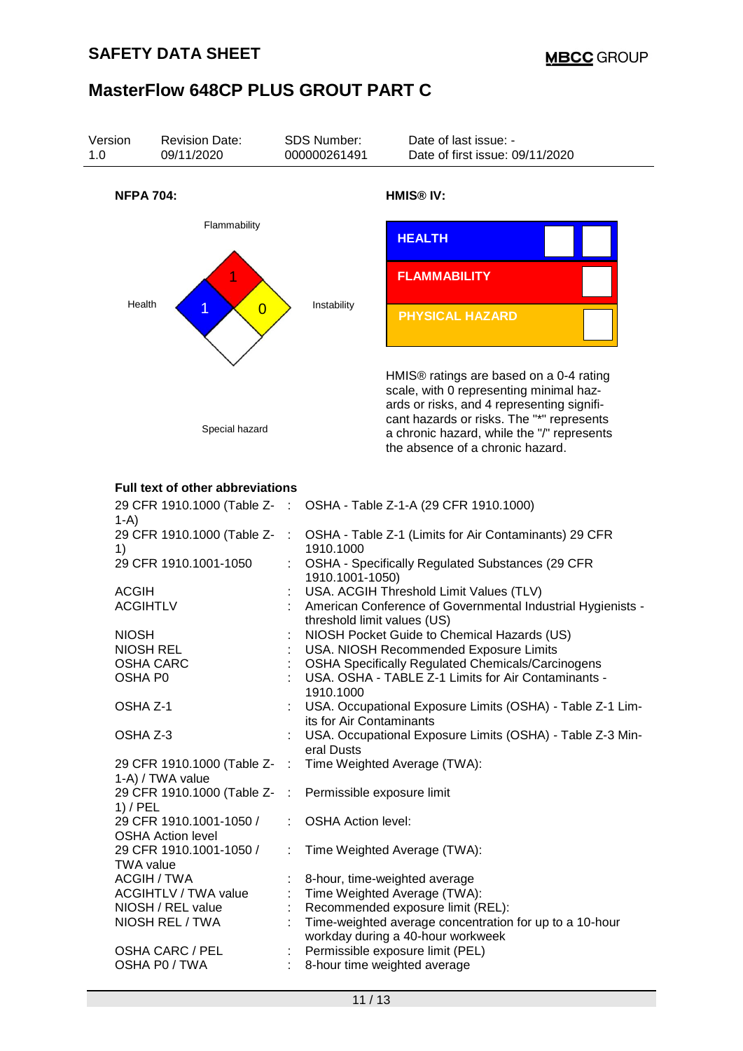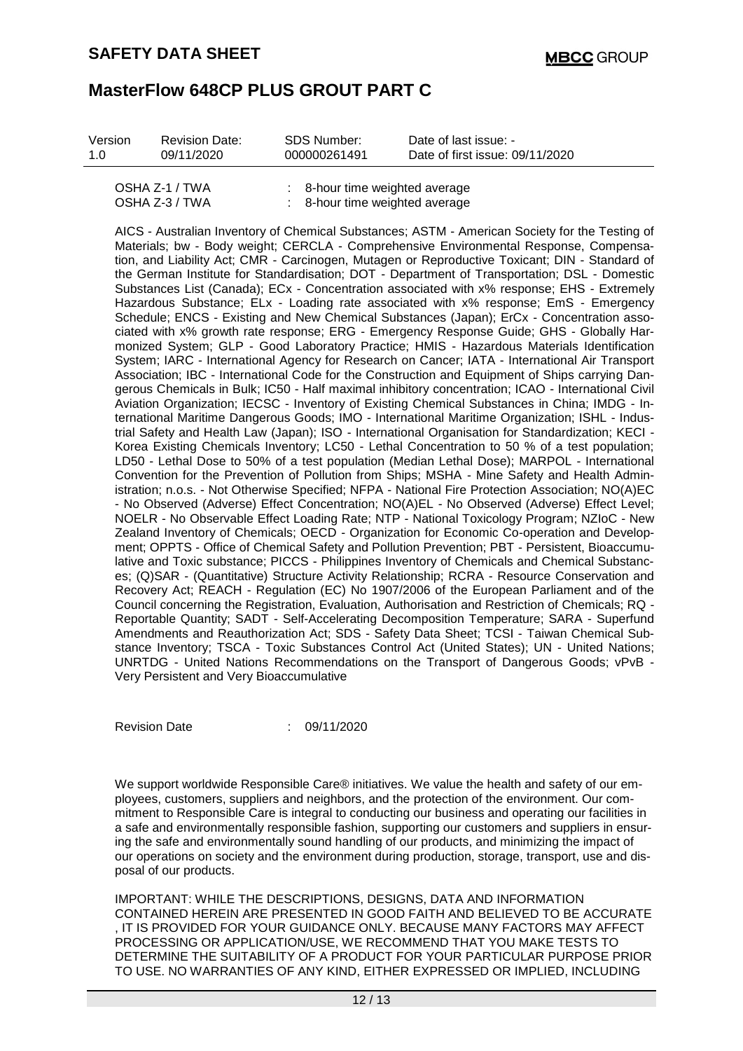| Version        | <b>Revision Date:</b> | SDS Number:  | Date of last issue: -           |
|----------------|-----------------------|--------------|---------------------------------|
| 1.0            | 09/11/2020            | 000000261491 | Date of first issue: 09/11/2020 |
| OSHA Z-1 / TWA |                       |              | 8-hour time weighted average    |

| $UUUH2^{-1}IIVH$ | <b>UTIOUI UILIC WEIGHTEU AVEIAUC</b> |
|------------------|--------------------------------------|
| OSHA Z-3 / TWA   | 8-hour time weighted average         |

AICS - Australian Inventory of Chemical Substances; ASTM - American Society for the Testing of Materials; bw - Body weight; CERCLA - Comprehensive Environmental Response, Compensation, and Liability Act; CMR - Carcinogen, Mutagen or Reproductive Toxicant; DIN - Standard of the German Institute for Standardisation; DOT - Department of Transportation; DSL - Domestic Substances List (Canada); ECx - Concentration associated with x% response; EHS - Extremely Hazardous Substance; ELx - Loading rate associated with x% response; EmS - Emergency Schedule; ENCS - Existing and New Chemical Substances (Japan); ErCx - Concentration associated with x% growth rate response; ERG - Emergency Response Guide; GHS - Globally Harmonized System; GLP - Good Laboratory Practice; HMIS - Hazardous Materials Identification System; IARC - International Agency for Research on Cancer; IATA - International Air Transport Association; IBC - International Code for the Construction and Equipment of Ships carrying Dangerous Chemicals in Bulk; IC50 - Half maximal inhibitory concentration; ICAO - International Civil Aviation Organization; IECSC - Inventory of Existing Chemical Substances in China; IMDG - International Maritime Dangerous Goods; IMO - International Maritime Organization; ISHL - Industrial Safety and Health Law (Japan); ISO - International Organisation for Standardization; KECI - Korea Existing Chemicals Inventory; LC50 - Lethal Concentration to 50 % of a test population; LD50 - Lethal Dose to 50% of a test population (Median Lethal Dose); MARPOL - International Convention for the Prevention of Pollution from Ships; MSHA - Mine Safety and Health Administration; n.o.s. - Not Otherwise Specified; NFPA - National Fire Protection Association; NO(A)EC - No Observed (Adverse) Effect Concentration; NO(A)EL - No Observed (Adverse) Effect Level; NOELR - No Observable Effect Loading Rate; NTP - National Toxicology Program; NZIoC - New Zealand Inventory of Chemicals; OECD - Organization for Economic Co-operation and Development; OPPTS - Office of Chemical Safety and Pollution Prevention; PBT - Persistent, Bioaccumulative and Toxic substance; PICCS - Philippines Inventory of Chemicals and Chemical Substances; (Q)SAR - (Quantitative) Structure Activity Relationship; RCRA - Resource Conservation and Recovery Act; REACH - Regulation (EC) No 1907/2006 of the European Parliament and of the Council concerning the Registration, Evaluation, Authorisation and Restriction of Chemicals; RQ - Reportable Quantity; SADT - Self-Accelerating Decomposition Temperature; SARA - Superfund Amendments and Reauthorization Act; SDS - Safety Data Sheet; TCSI - Taiwan Chemical Substance Inventory; TSCA - Toxic Substances Control Act (United States); UN - United Nations; UNRTDG - United Nations Recommendations on the Transport of Dangerous Goods; vPvB - Very Persistent and Very Bioaccumulative

Revision Date : 09/11/2020

We support worldwide Responsible Care® initiatives. We value the health and safety of our employees, customers, suppliers and neighbors, and the protection of the environment. Our commitment to Responsible Care is integral to conducting our business and operating our facilities in a safe and environmentally responsible fashion, supporting our customers and suppliers in ensuring the safe and environmentally sound handling of our products, and minimizing the impact of our operations on society and the environment during production, storage, transport, use and disposal of our products.

IMPORTANT: WHILE THE DESCRIPTIONS, DESIGNS, DATA AND INFORMATION CONTAINED HEREIN ARE PRESENTED IN GOOD FAITH AND BELIEVED TO BE ACCURATE , IT IS PROVIDED FOR YOUR GUIDANCE ONLY. BECAUSE MANY FACTORS MAY AFFECT PROCESSING OR APPLICATION/USE, WE RECOMMEND THAT YOU MAKE TESTS TO DETERMINE THE SUITABILITY OF A PRODUCT FOR YOUR PARTICULAR PURPOSE PRIOR TO USE. NO WARRANTIES OF ANY KIND, EITHER EXPRESSED OR IMPLIED, INCLUDING